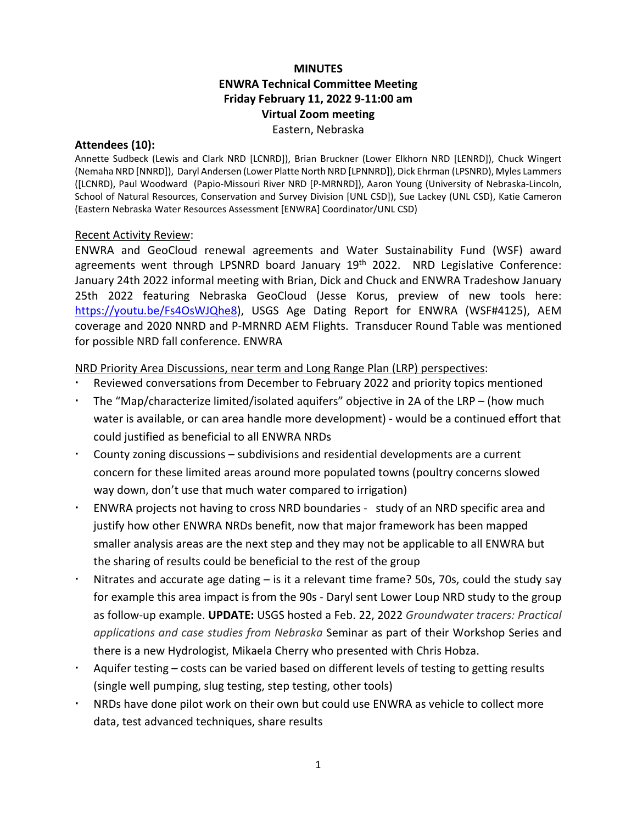## **MINUTES ENWRA Technical Committee Meeting Friday February 11, 2022 9-11:00 am Virtual Zoom meeting** Eastern, Nebraska

#### **Attendees (10):**

Annette Sudbeck (Lewis and Clark NRD [LCNRD]), Brian Bruckner (Lower Elkhorn NRD [LENRD]), Chuck Wingert (Nemaha NRD [NNRD]), Daryl Andersen (Lower Platte North NRD [LPNNRD]), Dick Ehrman (LPSNRD), Myles Lammers ([LCNRD), Paul Woodward (Papio-Missouri River NRD [P-MRNRD]), Aaron Young (University of Nebraska-Lincoln, School of Natural Resources, Conservation and Survey Division [UNL CSD]), Sue Lackey (UNL CSD), Katie Cameron (Eastern Nebraska Water Resources Assessment [ENWRA] Coordinator/UNL CSD)

#### Recent Activity Review:

ENWRA and GeoCloud renewal agreements and Water Sustainability Fund (WSF) award agreements went through LPSNRD board January 19<sup>th</sup> 2022. NRD Legislative Conference: January 24th 2022 informal meeting with Brian, Dick and Chuck and ENWRA Tradeshow January 25th 2022 featuring Nebraska GeoCloud (Jesse Korus, preview of new tools here: [https://youtu.be/Fs4OsWJQhe8\)](https://youtu.be/Fs4OsWJQhe8), USGS Age Dating Report for ENWRA (WSF#4125), AEM coverage and 2020 NNRD and P-MRNRD AEM Flights. Transducer Round Table was mentioned for possible NRD fall conference. ENWRA

### NRD Priority Area Discussions, near term and Long Range Plan (LRP) perspectives:

- Reviewed conversations from December to February 2022 and priority topics mentioned
- The "Map/characterize limited/isolated aquifers" objective in 2A of the LRP (how much water is available, or can area handle more development) - would be a continued effort that could justified as beneficial to all ENWRA NRDs
- County zoning discussions subdivisions and residential developments are a current concern for these limited areas around more populated towns (poultry concerns slowed way down, don't use that much water compared to irrigation)
- ENWRA projects not having to cross NRD boundaries study of an NRD specific area and justify how other ENWRA NRDs benefit, now that major framework has been mapped smaller analysis areas are the next step and they may not be applicable to all ENWRA but the sharing of results could be beneficial to the rest of the group
- Nitrates and accurate age dating is it a relevant time frame? 50s, 70s, could the study say for example this area impact is from the 90s - Daryl sent Lower Loup NRD study to the group as follow-up example. **UPDATE:** USGS hosted a Feb. 22, 2022 *Groundwater tracers: Practical applications and case studies from Nebraska* Seminar as part of their Workshop Series and there is a new Hydrologist, Mikaela Cherry who presented with Chris Hobza.
- Aquifer testing costs can be varied based on different levels of testing to getting results (single well pumping, slug testing, step testing, other tools)
- NRDs have done pilot work on their own but could use ENWRA as vehicle to collect more data, test advanced techniques, share results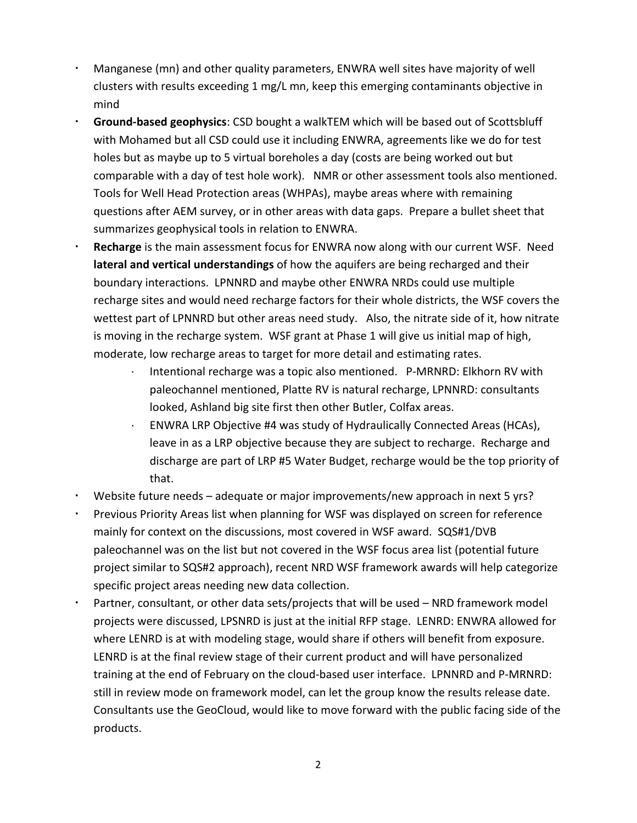- Manganese (mn) and other quality parameters, ENWRA well sites have majority of well clusters with results exceeding 1 mg/L mn, keep this emerging contaminants objective in mind
- **Ground-based geophysics**: CSD bought a walkTEM which will be based out of Scottsbluff with Mohamed but all CSD could use it including ENWRA, agreements like we do for test holes but as maybe up to 5 virtual boreholes a day (costs are being worked out but comparable with a day of test hole work). NMR or other assessment tools also mentioned. Tools for Well Head Protection areas (WHPAs), maybe areas where with remaining questions after AEM survey, or in other areas with data gaps. Prepare a bullet sheet that summarizes geophysical tools in relation to ENWRA.
- **Recharge** is the main assessment focus for ENWRA now along with our current WSF. Need **lateral and vertical understandings** of how the aquifers are being recharged and their boundary interactions. LPNNRD and maybe other ENWRA NRDs could use multiple recharge sites and would need recharge factors for their whole districts, the WSF covers the wettest part of LPNNRD but other areas need study. Also, the nitrate side of it, how nitrate is moving in the recharge system. WSF grant at Phase 1 will give us initial map of high, moderate, low recharge areas to target for more detail and estimating rates.
	- Intentional recharge was a topic also mentioned. P-MRNRD: Elkhorn RV with paleochannel mentioned, Platte RV is natural recharge, LPNNRD: consultants looked, Ashland big site first then other Butler, Colfax areas.
	- · ENWRA LRP Objective #4 was study of Hydraulically Connected Areas (HCAs), leave in as a LRP objective because they are subject to recharge. Recharge and discharge are part of LRP #5 Water Budget, recharge would be the top priority of that.
- Website future needs adequate or major improvements/new approach in next 5 yrs?
- Previous Priority Areas list when planning for WSF was displayed on screen for reference mainly for context on the discussions, most covered in WSF award. SQS#1/DVB paleochannel was on the list but not covered in the WSF focus area list (potential future project similar to SQS#2 approach), recent NRD WSF framework awards will help categorize specific project areas needing new data collection.
- Partner, consultant, or other data sets/projects that will be used NRD framework model projects were discussed, LPSNRD is just at the initial RFP stage. LENRD: ENWRA allowed for where LENRD is at with modeling stage, would share if others will benefit from exposure. LENRD is at the final review stage of their current product and will have personalized training at the end of February on the cloud-based user interface. LPNNRD and P-MRNRD: still in review mode on framework model, can let the group know the results release date. Consultants use the GeoCloud, would like to move forward with the public facing side of the products.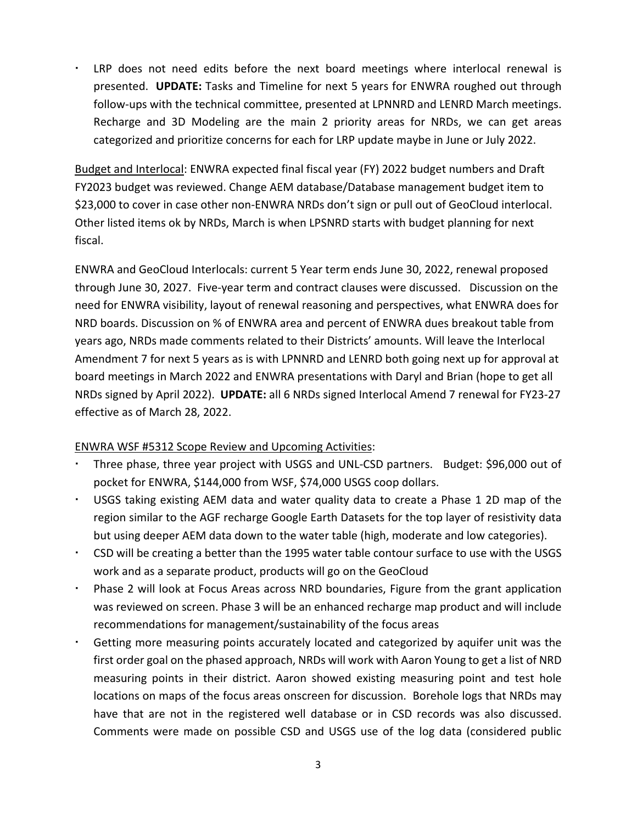LRP does not need edits before the next board meetings where interlocal renewal is presented. **UPDATE:** Tasks and Timeline for next 5 years for ENWRA roughed out through follow-ups with the technical committee, presented at LPNNRD and LENRD March meetings. Recharge and 3D Modeling are the main 2 priority areas for NRDs, we can get areas categorized and prioritize concerns for each for LRP update maybe in June or July 2022.

Budget and Interlocal: ENWRA expected final fiscal year (FY) 2022 budget numbers and Draft FY2023 budget was reviewed. Change AEM database/Database management budget item to \$23,000 to cover in case other non-ENWRA NRDs don't sign or pull out of GeoCloud interlocal. Other listed items ok by NRDs, March is when LPSNRD starts with budget planning for next fiscal.

ENWRA and GeoCloud Interlocals: current 5 Year term ends June 30, 2022, renewal proposed through June 30, 2027. Five-year term and contract clauses were discussed. Discussion on the need for ENWRA visibility, layout of renewal reasoning and perspectives, what ENWRA does for NRD boards. Discussion on % of ENWRA area and percent of ENWRA dues breakout table from years ago, NRDs made comments related to their Districts' amounts. Will leave the Interlocal Amendment 7 for next 5 years as is with LPNNRD and LENRD both going next up for approval at board meetings in March 2022 and ENWRA presentations with Daryl and Brian (hope to get all NRDs signed by April 2022). **UPDATE:** all 6 NRDs signed Interlocal Amend 7 renewal for FY23-27 effective as of March 28, 2022.

## ENWRA WSF #5312 Scope Review and Upcoming Activities:

- Three phase, three year project with USGS and UNL-CSD partners. Budget: \$96,000 out of pocket for ENWRA, \$144,000 from WSF, \$74,000 USGS coop dollars.
- USGS taking existing AEM data and water quality data to create a Phase 1 2D map of the region similar to the AGF recharge Google Earth Datasets for the top layer of resistivity data but using deeper AEM data down to the water table (high, moderate and low categories).
- CSD will be creating a better than the 1995 water table contour surface to use with the USGS work and as a separate product, products will go on the GeoCloud
- Phase 2 will look at Focus Areas across NRD boundaries, Figure from the grant application was reviewed on screen. Phase 3 will be an enhanced recharge map product and will include recommendations for management/sustainability of the focus areas
- Getting more measuring points accurately located and categorized by aquifer unit was the first order goal on the phased approach, NRDs will work with Aaron Young to get a list of NRD measuring points in their district. Aaron showed existing measuring point and test hole locations on maps of the focus areas onscreen for discussion. Borehole logs that NRDs may have that are not in the registered well database or in CSD records was also discussed. Comments were made on possible CSD and USGS use of the log data (considered public